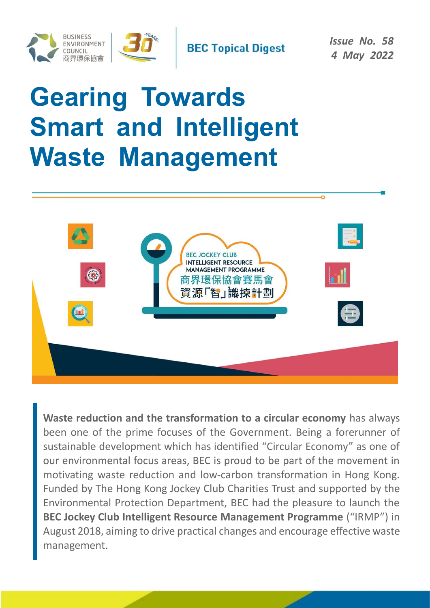

# **Gearing Towards Smart and Intelligent Waste Management**



**Waste reduction and the transformation to a circular economy** has always been one of the prime focuses of the Government. Being a forerunner of sustainable development which has identified "Circular Economy" as one of our environmental focus areas, BEC is proud to be part of the movement in motivating waste reduction and low-carbon transformation in Hong Kong. Funded by The Hong Kong Jockey Club Charities Trust and supported by the Environmental Protection Department, BEC had the pleasure to launch the **BEC Jockey Club Intelligent Resource Management Programme** ("IRMP") in August 2018, aiming to drive practical changes and encourage effective waste management.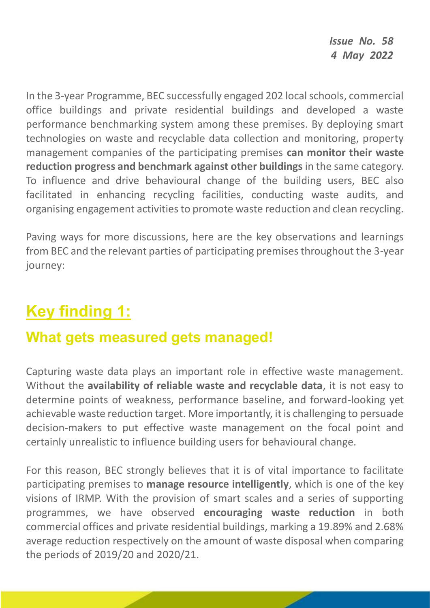In the 3-year Programme, BEC successfully engaged 202 local schools, commercial office buildings and private residential buildings and developed a waste performance benchmarking system among these premises. By deploying smart technologies on waste and recyclable data collection and monitoring, property management companies of the participating premises **can monitor their waste reduction progress and benchmark against other buildings** in the same category. To influence and drive behavioural change of the building users, BEC also facilitated in enhancing recycling facilities, conducting waste audits, and organising engagement activities to promote waste reduction and clean recycling.

Paving ways for more discussions, here are the key observations and learnings from BEC and the relevant parties of participating premises throughout the 3-year journey:

## **Key finding 1:**

### **What gets measured gets managed!**

Capturing waste data plays an important role in effective waste management. Without the **availability of reliable waste and recyclable data**, it is not easy to determine points of weakness, performance baseline, and forward-looking yet achievable waste reduction target. More importantly, it is challenging to persuade decision-makers to put effective waste management on the focal point and certainly unrealistic to influence building users for behavioural change.

For this reason, BEC strongly believes that it is of vital importance to facilitate participating premises to **manage resource intelligently**, which is one of the key visions of IRMP. With the provision of smart scales and a series of supporting programmes, we have observed **encouraging waste reduction** in both commercial offices and private residential buildings, marking a 19.89% and 2.68% average reduction respectively on the amount of waste disposal when comparing the periods of 2019/20 and 2020/21.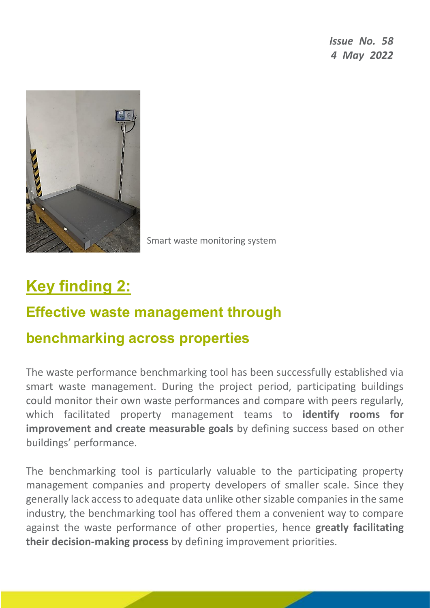

Smart waste monitoring system

## **Key finding 2:**

### **Effective waste management through**

#### **benchmarking across properties**

The waste performance benchmarking tool has been successfully established via smart waste management. During the project period, participating buildings could monitor their own waste performances and compare with peers regularly, which facilitated property management teams to **identify rooms for improvement and create measurable goals** by defining success based on other buildings' performance.

The benchmarking tool is particularly valuable to the participating property management companies and property developers of smaller scale. Since they generally lack access to adequate data unlike other sizable companies in the same industry, the benchmarking tool has offered them a convenient way to compare against the waste performance of other properties, hence **greatly facilitating their decision-making process** by defining improvement priorities.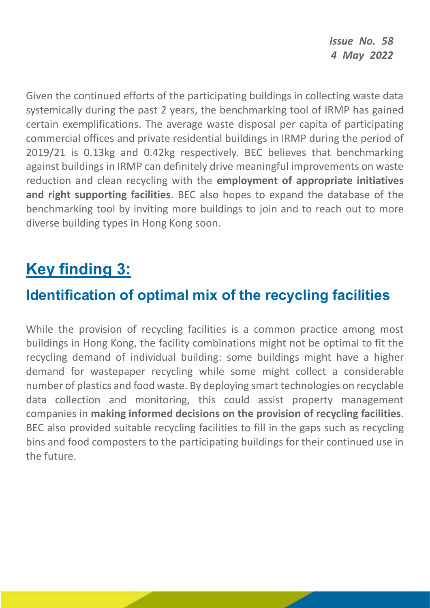Given the continued efforts of the participating buildings in collecting waste data systemically during the past 2 years, the benchmarking tool of IRMP has gained certain exemplifications. The average waste disposal per capita of participating commercial offices and private residential buildings in IRMP during the period of 2019/21 is 0.13kg and 0.42kg respectively. BEC believes that benchmarking against buildings in IRMP can definitely drive meaningful improvements on waste reduction and clean recycling with the **employment of appropriate initiatives and right supporting facilities**. BEC also hopes to expand the database of the benchmarking tool by inviting more buildings to join and to reach out to more diverse building types in Hong Kong soon.

## **Key finding 3:**

#### **Identification of optimal mix of the recycling facilities**

While the provision of recycling facilities is a common practice among most buildings in Hong Kong, the facility combinations might not be optimal to fit the recycling demand of individual building: some buildings might have a higher demand for wastepaper recycling while some might collect a considerable number of plastics and food waste. By deploying smart technologies on recyclable data collection and monitoring, this could assist property management companies in **making informed decisions on the provision of recycling facilities**. BEC also provided suitable recycling facilities to fill in the gaps such as recycling bins and food composters to the participating buildings for their continued use in the future.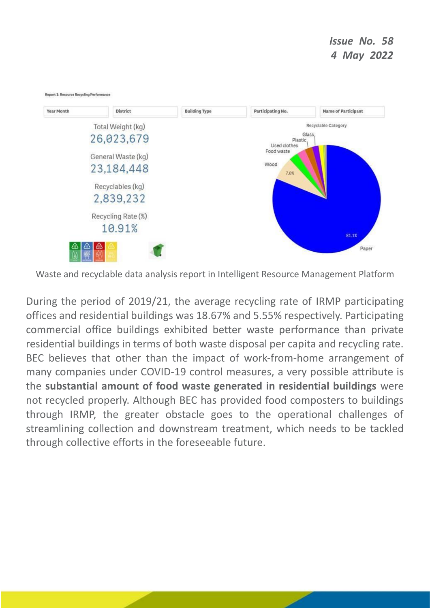

Waste and recyclable data analysis report in Intelligent Resource Management Platform

During the period of 2019/21, the average recycling rate of IRMP participating offices and residential buildings was 18.67% and 5.55% respectively. Participating commercial office buildings exhibited better waste performance than private residential buildings in terms of both waste disposal per capita and recycling rate. BEC believes that other than the impact of work-from-home arrangement of many companies under COVID-19 control measures, a very possible attribute is the **substantial amount of food waste generated in residential buildings** were not recycled properly. Although BEC has provided food composters to buildings through IRMP, the greater obstacle goes to the operational challenges of streamlining collection and downstream treatment, which needs to be tackled through collective efforts in the foreseeable future.